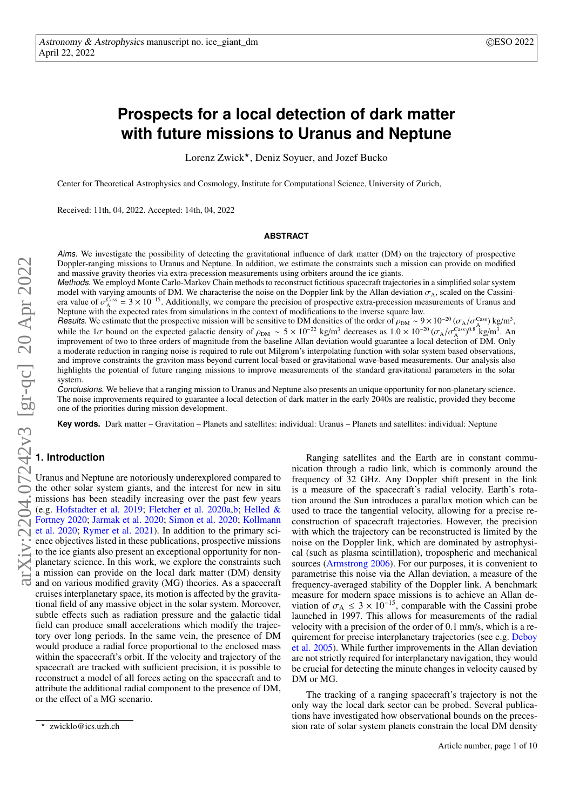# **Prospects for a local detection of dark matter with future missions to Uranus and Neptune**

Lorenz Zwick?, Deniz Soyuer, and Jozef Bucko

Center for Theoretical Astrophysics and Cosmology, Institute for Computational Science, University of Zurich,

Received: 11th, 04, 2022. Accepted: 14th, 04, 2022

## **ABSTRACT**

Aims. We investigate the possibility of detecting the gravitational influence of dark matter (DM) on the trajectory of prospective Doppler-ranging missions to Uranus and Neptune. In addition, we estimate the constraints such a mission can provide on modified and massive gravity theories via extra-precession measurements using orbiters around the ice giants.

Methods. We employd Monte Carlo-Markov Chain methods to reconstruct fictitious spacecraft trajectories in a simplified solar system model with varying amounts of DM. We characterise the noise on the Doppler link by the Al model with varying amounts of DM. We characterise the noise on the Doppler link by the Allan deviation  $\sigma_A$ , scaled on the Cassini-<br>era value of  $\sigma_A^{\text{Case}} = 3 \times 10^{-15}$ . Additionally, we compare the precision of prospect era value of  $\sigma_A^{\text{Cass}}$ <br>Nentune with the Neptune with the expected rates from simulations in the context of modifications to the inverse square law.

Results. We estimate that the prospective mission will be sensitive to DM densities of the order of  $\rho_{DM} \sim 9 \times 10^{-20} (\sigma_A/\sigma_A^{\text{Casis}}) \text{ kg/m}^3$ , while the 1 $\sigma$  bound on the expected galactic density of  $\rho_{DM} \approx 5 \times 10^{-22}$ while the 1 $\sigma$  bound on the expected galactic density of  $\rho_{DM} \sim 5 \times 10^{-22}$  kg/m<sup>3</sup> decreases as  $1.0 \times 10^{-20} (\sigma_A/\sigma_{AB}^{\text{Cas}})^{0.8}$  kg/m<sup>3</sup>. An improvement of two to three orders of magnitude from the baseline Allan de improvement of two to three orders of magnitude from the baseline Allan deviation would guarantee a local detection of DM. Only a moderate reduction in ranging noise is required to rule out Milgrom's interpolating function with solar system based observations, and improve constraints the graviton mass beyond current local-based or gravitational wave-based measurements. Our analysis also highlights the potential of future ranging missions to improve measurements of the standard gravitational parameters in the solar system.

Conclusions. We believe that a ranging mission to Uranus and Neptune also presents an unique opportunity for non-planetary science. The noise improvements required to guarantee a local detection of dark matter in the early 2040s are realistic, provided they become one of the priorities during mission development.

**Key words.** Dark matter – Gravitation – Planets and satellites: individual: Uranus – Planets and satellites: individual: Neptune

## **1. Introduction**

Uranus and Neptune are notoriously underexplored compared to the other solar system giants, and the interest for new in situ missions has been steadily increasing over the past few years (e.g. [Hofstadter et al.](#page-9-0) [2019;](#page-9-0) [Fletcher et al.](#page-9-1) [2020a](#page-9-1)[,b;](#page-9-2) [Helled &](#page-9-3) [Fortney](#page-9-3) [2020;](#page-9-3) [Jarmak et al.](#page-9-4) [2020;](#page-9-4) [Simon et al.](#page-9-5) [2020;](#page-9-5) [Kollmann](#page-9-6) [et al.](#page-9-6) [2020;](#page-9-6) [Rymer et al.](#page-9-7) [2021\)](#page-9-7). In addition to the primary science objectives listed in these publications, prospective missions to the ice giants also present an exceptional opportunity for nonplanetary science. In this work, we explore the constraints such a mission can provide on the local dark matter (DM) density and on various modified gravity (MG) theories. As a spacecraft cruises interplanetary space, its motion is affected by the gravitational field of any massive object in the solar system. Moreover, subtle effects such as radiation pressure and the galactic tidal field can produce small accelerations which modify the trajectory over long periods. In the same vein, the presence of DM would produce a radial force proportional to the enclosed mass within the spacecraft's orbit. If the velocity and trajectory of the spacecraft are tracked with sufficient precision, it is possible to reconstruct a model of all forces acting on the spacecraft and to attribute the additional radial component to the presence of DM, or the effect of a MG scenario.

Ranging satellites and the Earth are in constant commu-

The tracking of a ranging spacecraft's trajectory is not the only way the local dark sector can be probed. Several publications have investigated how observational bounds on the precession rate of solar system planets constrain the local DM density

nication through a radio link, which is commonly around the frequency of 32 GHz. Any Doppler shift present in the link is a measure of the spacecraft's radial velocity. Earth's rotation around the Sun introduces a parallax motion which can be used to trace the tangential velocity, allowing for a precise reconstruction of spacecraft trajectories. However, the precision with which the trajectory can be reconstructed is limited by the noise on the Doppler link, which are dominated by astrophysical (such as plasma scintillation), tropospheric and mechanical sources [\(Armstrong](#page-9-8) [2006\)](#page-9-8). For our purposes, it is convenient to parametrise this noise via the Allan deviation, a measure of the frequency-averaged stability of the Doppler link. A benchmark measure for modern space missions is to achieve an Allan deviation of  $\sigma_A \leq 3 \times 10^{-15}$ , comparable with the Cassini probe launched in 1997. This allows for measurements of the radial velocity with a precision of the order of 0.1 mm/s, which is a requirement for precise interplanetary trajectories (see e.g. [Deboy](#page-9-9) [et al.](#page-9-9) [2005\)](#page-9-9). While further improvements in the Allan deviation are not strictly required for interplanetary navigation, they would be crucial for detecting the minute changes in velocity caused by DM or MG.

<sup>?</sup> zwicklo@ics.uzh.ch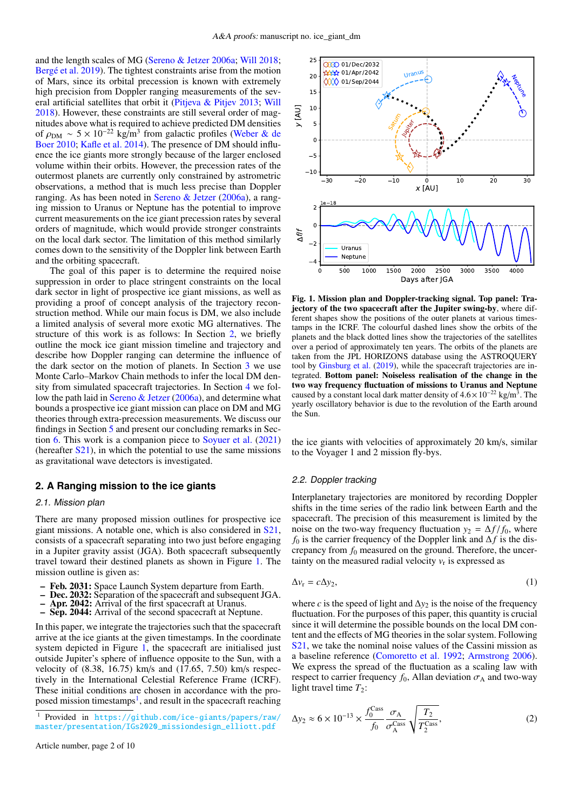and the length scales of MG [\(Sereno & Jetzer](#page-9-10) [2006a;](#page-9-10) [Will](#page-9-11) [2018;](#page-9-11) [Bergé et al.](#page-9-12) [2019\)](#page-9-12). The tightest constraints arise from the motion of Mars, since its orbital precession is known with extremely high precision from Doppler ranging measurements of the several artificial satellites that orbit it [\(Pitjeva & Pitjev](#page-9-13) [2013;](#page-9-13) [Will](#page-9-11) [2018\)](#page-9-11). However, these constraints are still several order of magnitudes above what is required to achieve predicted DM densities of  $\rho_{DM} \sim 5 \times 10^{-22}$  kg/m<sup>3</sup> from galactic profiles [\(Weber & de](#page-9-14) Boer 2010: Kafle et al. 2014). The presence of DM should influ-[Boer](#page-9-14) [2010;](#page-9-14) [Kafle et al.](#page-9-15) [2014\)](#page-9-15). The presence of DM should influence the ice giants more strongly because of the larger enclosed volume within their orbits. However, the precession rates of the outermost planets are currently only constrained by astrometric observations, a method that is much less precise than Doppler ranging. As has been noted in [Sereno & Jetzer](#page-9-10) [\(2006a\)](#page-9-10), a ranging mission to Uranus or Neptune has the potential to improve current measurements on the ice giant precession rates by several orders of magnitude, which would provide stronger constraints on the local dark sector. The limitation of this method similarly comes down to the sensitivity of the Doppler link between Earth and the orbiting spacecraft.

The goal of this paper is to determine the required noise suppression in order to place stringent constraints on the local dark sector in light of prospective ice giant missions, as well as providing a proof of concept analysis of the trajectory reconstruction method. While our main focus is DM, we also include a limited analysis of several more exotic MG alternatives. The structure of this work is as follows: In Section [2,](#page-1-0) we briefly outline the mock ice giant mission timeline and trajectory and describe how Doppler ranging can determine the influence of the dark sector on the motion of planets. In Section [3](#page-2-0) we use Monte Carlo–Markov Chain methods to infer the local DM density from simulated spacecraft trajectories. In Section [4](#page-4-0) we follow the path laid in [Sereno & Jetzer](#page-9-10) [\(2006a\)](#page-9-10), and determine what bounds a prospective ice giant mission can place on DM and MG theories through extra-precession measurements. We discuss our findings in Section [5](#page-7-0) and present our concluding remarks in Section [6.](#page-9-16) This work is a companion piece to [Soyuer et al.](#page-9-17) [\(2021\)](#page-9-17) (hereafter  $S(21)$ , in which the potential to use the same missions as gravitational wave detectors is investigated.

## <span id="page-1-0"></span>**2. A Ranging mission to the ice giants**

## 2.1. Mission plan

There are many proposed mission outlines for prospective ice giant missions. A notable one, which is also considered in [S21,](#page-9-17) consists of a spacecraft separating into two just before engaging in a Jupiter gravity assist (JGA). Both spacecraft subsequently travel toward their destined planets as shown in Figure [1.](#page-1-1) The mission outline is given as:

- Feb. 2031: Space Launch System departure from Earth.<br>– Dec. 2032: Separation of the spacecraft and subsequent J
- Dec. 2032: Separation of the spacecraft and subsequent JGA.
- Apr. 2042: Arrival of the first spacecraft at Uranus.
- Sep. 2044: Arrival of the second spacecraft at Neptune.

In this paper, we integrate the trajectories such that the spacecraft arrive at the ice giants at the given timestamps. In the coordinate system depicted in Figure [1,](#page-1-1) the spacecraft are initialised just outside Jupiter's sphere of influence opposite to the Sun, with a velocity of (8.38, 16.75) km/s and (17.65, 7.50) km/s respectively in the International Celestial Reference Frame (ICRF). These initial conditions are chosen in accordance with the pro-posed mission timestamps<sup>[1](#page-1-2)</sup>, and result in the spacecraft reaching

<span id="page-1-2"></span><sup>1</sup> Provided in [https://github.com/ice-giants/papers/raw/](https://github.com/ice-giants/papers/raw/master/presentation/IGs2020_missiondesign_elliott.pdf) [master/presentation/IGs2020\\_missiondesign\\_elliott.pdf](https://github.com/ice-giants/papers/raw/master/presentation/IGs2020_missiondesign_elliott.pdf)



<span id="page-1-1"></span>Fig. 1. Mission plan and Doppler-tracking signal. Top panel: Trajectory of the two spacecraft after the Jupiter swing-by, where different shapes show the positions of the outer planets at various timestamps in the ICRF. The colourful dashed lines show the orbits of the planets and the black dotted lines show the trajectories of the satellites over a period of approximately ten years. The orbits of the planets are taken from the JPL HORIZONS database using the ASTROQUERY tool by [Ginsburg et al.](#page-9-18) [\(2019\)](#page-9-18), while the spacecraft trajectories are integrated. Bottom panel: Noiseless realisation of the change in the two way frequency fluctuation of missions to Uranus and Neptune caused by a constant local dark matter density of  $4.6 \times 10^{-22}$  kg/m<sup>3</sup>. The vearly oscillatory behavior is due to the revolution of the Earth around yearly oscillatory behavior is due to the revolution of the Earth around the Sun.

the ice giants with velocities of approximately 20 km/s, similar to the Voyager 1 and 2 mission fly-bys.

#### 2.2. Doppler tracking

Interplanetary trajectories are monitored by recording Doppler shifts in the time series of the radio link between Earth and the spacecraft. The precision of this measurement is limited by the noise on the two-way frequency fluctuation  $y_2 = \Delta f / f_0$ , where *f*<sup>0</sup> is the carrier frequency of the Doppler link and ∆*f* is the discrepancy from *f*<sup>0</sup> measured on the ground. Therefore, the uncertainty on the measured radial velocity  $v_r$  is expressed as

$$
\Delta v_{\rm r} = c \Delta y_2,\tag{1}
$$

where *c* is the speed of light and  $\Delta y_2$  is the noise of the frequency fluctuation. For the purposes of this paper, this quantity is crucial since it will determine the possible bounds on the local DM content and the effects of MG theories in the solar system. Following [S21,](#page-9-17) we take the nominal noise values of the Cassini mission as a baseline reference [\(Comoretto et al.](#page-9-19) [1992;](#page-9-19) [Armstrong](#page-9-8) [2006\)](#page-9-8). We express the spread of the fluctuation as a scaling law with respect to carrier frequency  $f_0$ , Allan deviation  $\sigma_A$  and two-way light travel time  $T_2$ :

$$
\Delta y_2 \approx 6 \times 10^{-13} \times \frac{f_0^{\text{Cass}}}{f_0} \frac{\sigma_A}{\sigma_A^{\text{Cass}}} \sqrt{\frac{T_2}{T_2^{\text{Cass}}}},\tag{2}
$$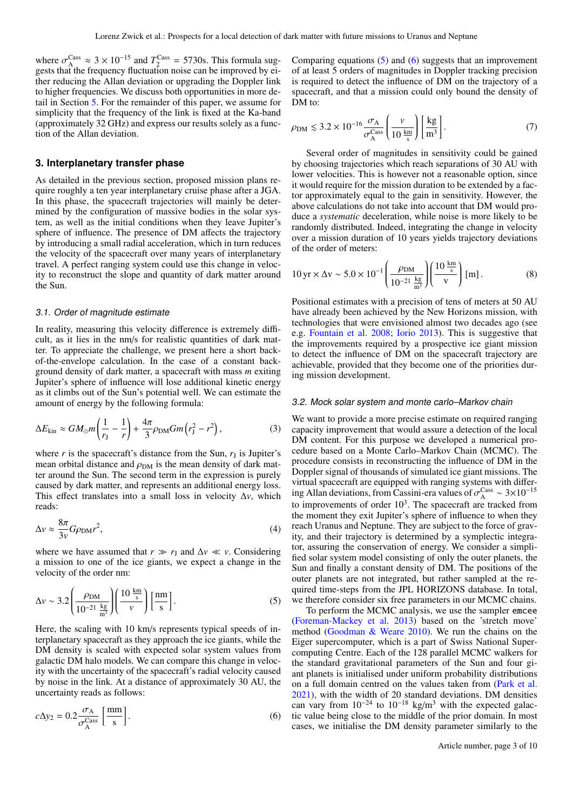where  $\sigma_{\rm A}^{\rm Cass} \approx 3 \times 10^{-15}$  and  $T_{\rm 2}^{\rm Cass} = 5730$ s. This formula suggress that the frequency fluctuation noise can be improved by eigests that the frequency fluctuation noise can be improved by either reducing the Allan deviation or upgrading the Doppler link to higher frequencies. We discuss both opportunities in more detail in Section [5.](#page-7-0) For the remainder of this paper, we assume for simplicity that the frequency of the link is fixed at the Ka-band (approximately 32 GHz) and express our results solely as a function of the Allan deviation.

# <span id="page-2-0"></span>**3. Interplanetary transfer phase**

As detailed in the previous section, proposed mission plans require roughly a ten year interplanetary cruise phase after a JGA. In this phase, the spacecraft trajectories will mainly be determined by the configuration of massive bodies in the solar system, as well as the initial conditions when they leave Jupiter's sphere of influence. The presence of DM affects the trajectory by introducing a small radial acceleration, which in turn reduces the velocity of the spacecraft over many years of interplanetary travel. A perfect ranging system could use this change in velocity to reconstruct the slope and quantity of dark matter around the Sun.

#### 3.1. Order of magnitude estimate

In reality, measuring this velocity difference is extremely difficult, as it lies in the nm/s for realistic quantities of dark matter. To appreciate the challenge, we present here a short backof-the-envelope calculation. In the case of a constant background density of dark matter, a spacecraft with mass *m* exiting Jupiter's sphere of influence will lose additional kinetic energy as it climbs out of the Sun's potential well. We can estimate the amount of energy by the following formula:

$$
\Delta E_{\rm kin} \approx GM_{\odot}m\left(\frac{1}{r_{\rm J}}-\frac{1}{r}\right)+\frac{4\pi}{3}\rho_{\rm DM}Gm\left(r_{\rm J}^2-r^2\right),\tag{3}
$$

where  $r$  is the spacecraft's distance from the Sun,  $r<sub>J</sub>$  is Jupiter's mean orbital distance and  $\rho_{DM}$  is the mean density of dark matter around the Sun. The second term in the expression is purely caused by dark matter, and represents an additional energy loss. This effect translates into a small loss in velocity ∆*v*, which reads:

$$
\Delta v \approx \frac{8\pi}{3v} G \rho_{\rm DM} r^2,\tag{4}
$$

where we have assumed that  $r \gg r_J$  and  $\Delta v \ll v$ . Considering a mission to one of the ice giants, we expect a change in the velocity of the order nm:

$$
\Delta v \sim 3.2 \left( \frac{\rho_{\rm DM}}{10^{-21} \frac{\text{kg}}{\text{m}^3}} \right) \left( \frac{10 \frac{\text{km}}{\text{s}}}{v} \right) \left[ \frac{\text{nm}}{\text{s}} \right]. \tag{5}
$$

Here, the scaling with 10 km/s represents typical speeds of interplanetary spacecraft as they approach the ice giants, while the DM density is scaled with expected solar system values from galactic DM halo models. We can compare this change in velocity with the uncertainty of the spacecraft's radial velocity caused by noise in the link. At a distance of approximately 30 AU, the uncertainty reads as follows:

$$
c\Delta y_2 = 0.2 \frac{\sigma_A}{\sigma_A^{\text{Cas}}} \left[ \frac{\text{mm}}{\text{s}} \right]. \tag{6}
$$

Comparing equations [\(5\)](#page-2-1) and [\(6\)](#page-2-2) suggests that an improvement of at least 5 orders of magnitudes in Doppler tracking precision is required to detect the influence of DM on the trajectory of a spacecraft, and that a mission could only bound the density of DM to:

<span id="page-2-3"></span>
$$
\rho_{\rm DM} \lesssim 3.2 \times 10^{-16} \frac{\sigma_{\rm A}}{\sigma_{\rm A}^{\rm Cass}} \left( \frac{v}{10 \frac{\rm km}{\rm s}} \right) \left[ \frac{\rm kg}{\rm m^3} \right]. \tag{7}
$$

Several order of magnitudes in sensitivity could be gained by choosing trajectories which reach separations of 30 AU with lower velocities. This is however not a reasonable option, since it would require for the mission duration to be extended by a factor approximately equal to the gain in sensitivity. However, the above calculations do not take into account that DM would produce a *systematic* deceleration, while noise is more likely to be randomly distributed. Indeed, integrating the change in velocity over a mission duration of 10 years yields trajectory deviations of the order of meters:

$$
10 \text{ yr} \times \Delta \text{v} \sim 5.0 \times 10^{-1} \left( \frac{\rho_{\text{DM}}}{10^{-21} \frac{\text{kg}}{\text{m}^3}} \right) \left( \frac{10 \frac{\text{km}}{\text{s}}}{\text{v}} \right) [\text{m}] \,. \tag{8}
$$

Positional estimates with a precision of tens of meters at 50 AU have already been achieved by the New Horizons mission, with technologies that were envisioned almost two decades ago (see e.g. [Fountain et al.](#page-9-20) [2008;](#page-9-20) [Iorio](#page-9-21) [2013\)](#page-9-21). This is suggestive that the improvements required by a prospective ice giant mission to detect the influence of DM on the spacecraft trajectory are achievable, provided that they become one of the priorities during mission development.

#### 3.2. Mock solar system and monte carlo–Markov chain

We want to provide a more precise estimate on required ranging capacity improvement that would assure a detection of the local DM content. For this purpose we developed a numerical procedure based on a Monte Carlo–Markov Chain (MCMC). The procedure consists in reconstructing the influence of DM in the Doppler signal of thousands of simulated ice giant missions. The virtual spacecraft are equipped with ranging systems with differing Allan deviations, from Cassini-era values of  $\sigma_{\rm A}^{\rm Cass} \sim 3 \times 10^{-15}$ <br>to improvements of order  $10^3$ . The specears from tracked from to improvements of order  $10<sup>3</sup>$ . The spacecraft are tracked from the moment they exit Jupiter's sphere of influence to when they reach Uranus and Neptune. They are subject to the force of gravity, and their trajectory is determined by a symplectic integrator, assuring the conservation of energy. We consider a simplified solar system model consisting of only the outer planets, the Sun and finally a constant density of DM. The positions of the outer planets are not integrated, but rather sampled at the required time-steps from the JPL HORIZONS database. In total, we therefore consider six free parameters in our MCMC chains.

<span id="page-2-2"></span><span id="page-2-1"></span>To perform the MCMC analysis, we use the sampler emcee [\(Foreman-Mackey et al.](#page-9-22) [2013\)](#page-9-22) based on the 'stretch move' method [\(Goodman & Weare](#page-9-23) [2010\)](#page-9-23). We run the chains on the Eiger supercomputer, which is a part of Swiss National Supercomputing Centre. Each of the 128 parallel MCMC walkers for the standard gravitational parameters of the Sun and four giant planets is initialised under uniform probability distributions on a full domain centred on the values taken from [\(Park et al.](#page-9-24) [2021\)](#page-9-24), with the width of 20 standard deviations. DM densities can vary from  $10^{-24}$  to  $10^{-18}$  kg/m<sup>3</sup> with the expected galactic value being close to the middle of the prior domain. In most cases, we initialise the DM density parameter similarly to the

Article number, page 3 of 10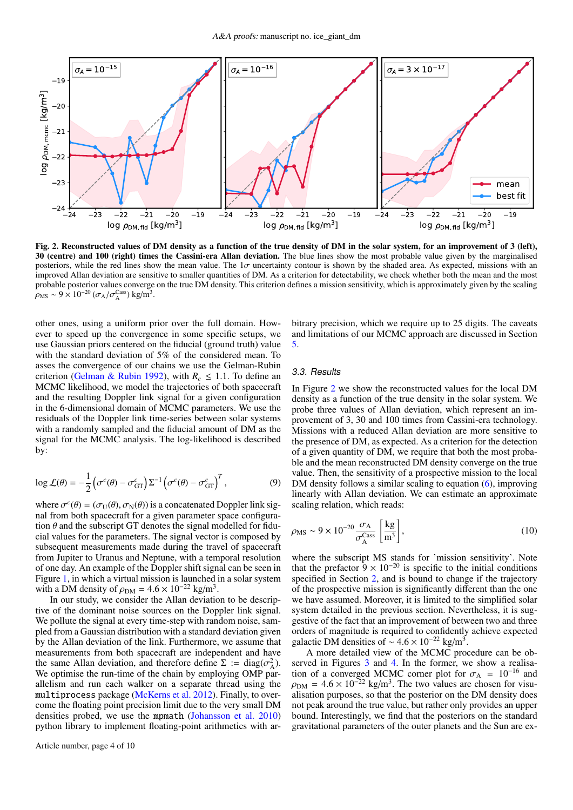

<span id="page-3-0"></span>Fig. 2. Reconstructed values of DM density as a function of the true density of DM in the solar system, for an improvement of 3 (left), 30 (centre) and 100 (right) times the Cassini-era Allan deviation. The blue lines show the most probable value given by the marginalised posteriors, while the red lines show the mean value. The  $1\sigma$  uncertainty contour is shown by the shaded area. As expected, missions with an improved Allan deviation are sensitive to smaller quantities of DM. As a criterion for detectability, we check whether both the mean and the most probable posterior values converge on the true DM density. This criterion defines a mission sensitivity, which is approximately given by the scaling  $\rho_{\text{MS}} \sim 9 \times 10^{-20} \left( \frac{\sigma_{\text{A}}}{\sigma_{\text{A}}^{\text{Cass}}} \right) \text{kg/m}^3.$ 

other ones, using a uniform prior over the full domain. However to speed up the convergence in some specific setups, we use Gaussian priors centered on the fiducial (ground truth) value with the standard deviation of 5% of the considered mean. To asses the convergence of our chains we use the Gelman-Rubin criterion [\(Gelman & Rubin](#page-9-25) [1992\)](#page-9-25), with  $R_c \leq 1.1$ . To define an MCMC likelihood, we model the trajectories of both spacecraft and the resulting Doppler link signal for a given configuration in the 6-dimensional domain of MCMC parameters. We use the residuals of the Doppler link time-series between solar systems with a randomly sampled and the fiducial amount of DM as the signal for the MCMC analysis. The log-likelihood is described by:

$$
\log \mathcal{L}(\theta) = -\frac{1}{2} \left( \sigma^c(\theta) - \sigma^c_{GT} \right) \Sigma^{-1} \left( \sigma^c(\theta) - \sigma^c_{GT} \right)^T, \tag{9}
$$

where  $\sigma^c(\theta) = (\sigma_U(\theta), \sigma_N(\theta))$  is a concatenated Doppler link signal from both spacecraft for a given parameter space configuranal from both spacecraft for a given parameter space configuration  $\theta$  and the subscript GT denotes the signal modelled for fiducial values for the parameters. The signal vector is composed by subsequent measurements made during the travel of spacecraft from Jupiter to Uranus and Neptune, with a temporal resolution of one day. An example of the Doppler shift signal can be seen in Figure [1,](#page-1-1) in which a virtual mission is launched in a solar system with a DM density of  $\rho_{DM} = 4.6 \times 10^{-22}$  kg/m<sup>3</sup>.<br>In our study, we consider the Allan deviation

In our study, we consider the Allan deviation to be descriptive of the dominant noise sources on the Doppler link signal. We pollute the signal at every time-step with random noise, sampled from a Gaussian distribution with a standard deviation given by the Allan deviation of the link. Furthermore, we assume that measurements from both spacecraft are independent and have the same Allan deviation, and therefore define  $\Sigma := diag(\sigma_A^2)$ .<br>We optimise the run-time of the chain by employing OMP par-We optimise the run-time of the chain by employing OMP parallelism and run each walker on a separate thread using the multiprocess package [\(McKerns et al.](#page-9-26) [2012\)](#page-9-26). Finally, to overcome the floating point precision limit due to the very small DM densities probed, we use the mpmath [\(Johansson et al.](#page-9-27) [2010\)](#page-9-27) python library to implement floating-point arithmetics with ar-

bitrary precision, which we require up to 25 digits. The caveats and limitations of our MCMC approach are discussed in Section [5.](#page-7-0)

#### 3.3. Results

In Figure [2](#page-3-0) we show the reconstructed values for the local DM density as a function of the true density in the solar system. We probe three values of Allan deviation, which represent an improvement of 3, 30 and 100 times from Cassini-era technology. Missions with a reduced Allan deviation are more sensitive to the presence of DM, as expected. As a criterion for the detection of a given quantity of DM, we require that both the most probable and the mean reconstructed DM density converge on the true value. Then, the sensitivity of a prospective mission to the local DM density follows a similar scaling to equation [\(6\)](#page-2-2), improving linearly with Allan deviation. We can estimate an approximate scaling relation, which reads:

<span id="page-3-1"></span>
$$
\rho_{\rm MS} \sim 9 \times 10^{-20} \frac{\sigma_{\rm A}}{\sigma_{\rm A}^{\rm Cas}} \left[ \frac{\text{kg}}{\text{m}^3} \right],\tag{10}
$$

where the subscript MS stands for 'mission sensitivity'. Note that the prefactor  $9 \times 10^{-20}$  is specific to the initial conditions specified in Section [2,](#page-1-0) and is bound to change if the trajectory of the prospective mission is significantly different than the one we have assumed. Moreover, it is limited to the simplified solar system detailed in the previous section. Nevertheless, it is suggestive of the fact that an improvement of between two and three orders of magnitude is required to confidently achieve expected galactic DM densities of ~4.6 × 10<sup>-22</sup> kg/m<sup>3</sup>.<br>A more detailed view of the MCMC pro

A more detailed view of the MCMC procedure can be ob-served in Figures [3](#page-4-1) and [4.](#page-4-2) In the former, we show a realisation of a converged MCMC corner plot for  $\sigma_A = 10^{-16}$  and  $\rho_{DM} = 4.6 \times 10^{-22}$  kg/m<sup>3</sup>. The two values are chosen for visu-<br>alisation purposes, so that the posterior on the DM density does alisation purposes, so that the posterior on the DM density does not peak around the true value, but rather only provides an upper bound. Interestingly, we find that the posteriors on the standard gravitational parameters of the outer planets and the Sun are ex-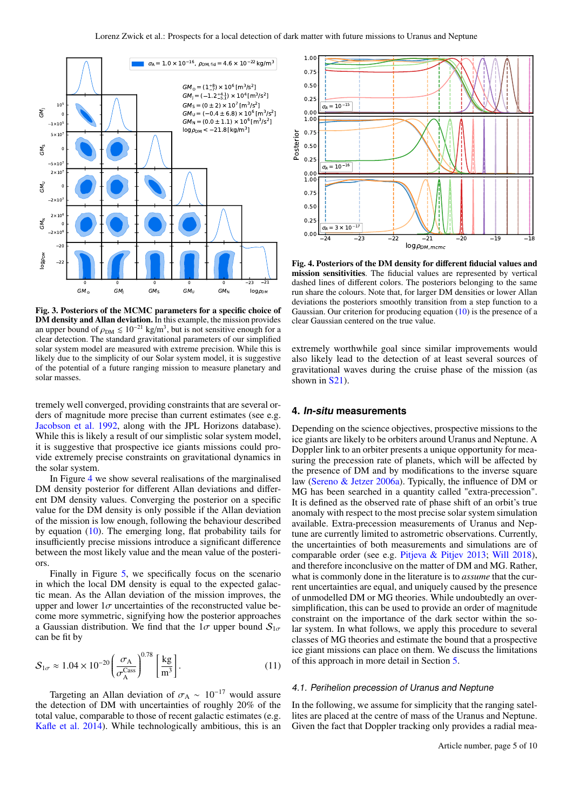

<span id="page-4-1"></span>Fig. 3. Posteriors of the MCMC parameters for a specific choice of DM density and Allan deviation. In this example, the mission provides an upper bound of  $\rho_{DM} \leq 10^{-21}$  kg/m<sup>3</sup>, but is not sensitive enough for a clear detection. The standard pravitational parameters of our simplified clear detection. The standard gravitational parameters of our simplified solar system model are measured with extreme precision. While this is likely due to the simplicity of our Solar system model, it is suggestive of the potential of a future ranging mission to measure planetary and solar masses.

tremely well converged, providing constraints that are several orders of magnitude more precise than current estimates (see e.g. [Jacobson et al.](#page-9-28) [1992,](#page-9-28) along with the JPL Horizons database). While this is likely a result of our simplistic solar system model, it is suggestive that prospective ice giants missions could provide extremely precise constraints on gravitational dynamics in the solar system.

In Figure [4](#page-4-2) we show several realisations of the marginalised DM density posterior for different Allan deviations and different DM density values. Converging the posterior on a specific value for the DM density is only possible if the Allan deviation of the mission is low enough, following the behaviour described by equation [\(10\)](#page-3-1). The emerging long, flat probability tails for insufficiently precise missions introduce a significant difference between the most likely value and the mean value of the posteriors.

Finally in Figure [5,](#page-5-0) we specifically focus on the scenario in which the local DM density is equal to the expected galactic mean. As the Allan deviation of the mission improves, the upper and lower  $1\sigma$  uncertainties of the reconstructed value become more symmetric, signifying how the posterior approaches a Gaussian distribution. We find that the  $1\sigma$  upper bound  $S_{1\sigma}$ can be fit by

$$
S_{1\sigma} \approx 1.04 \times 10^{-20} \left(\frac{\sigma_{\rm A}}{\sigma_{\rm A}^{\rm Cass}}\right)^{0.78} \left[\frac{\rm kg}{\rm m^3}\right].\tag{11}
$$

Targeting an Allan deviation of  $\sigma_A \sim 10^{-17}$  would assure the detection of DM with uncertainties of roughly 20% of the total value, comparable to those of recent galactic estimates (e.g. [Kafle et al.](#page-9-15) [2014\)](#page-9-15). While technologically ambitious, this is an



<span id="page-4-2"></span>Fig. 4. Posteriors of the DM density for different fiducial values and mission sensitivities. The fiducial values are represented by vertical dashed lines of different colors. The posteriors belonging to the same run share the colours. Note that, for larger DM densities or lower Allan deviations the posteriors smoothly transition from a step function to a Gaussian. Our criterion for producing equation [\(10\)](#page-3-1) is the presence of a clear Gaussian centered on the true value.

extremely worthwhile goal since similar improvements would also likely lead to the detection of at least several sources of gravitational waves during the cruise phase of the mission (as shown in **S21**).

## <span id="page-4-0"></span>**4. In-situ measurements**

Depending on the science objectives, prospective missions to the ice giants are likely to be orbiters around Uranus and Neptune. A Doppler link to an orbiter presents a unique opportunity for measuring the precession rate of planets, which will be affected by the presence of DM and by modifications to the inverse square law [\(Sereno & Jetzer](#page-9-10) [2006a\)](#page-9-10). Typically, the influence of DM or MG has been searched in a quantity called "extra-precession". It is defined as the observed rate of phase shift of an orbit's true anomaly with respect to the most precise solar system simulation available. Extra-precession measurements of Uranus and Neptune are currently limited to astrometric observations. Currently, the uncertainties of both measurements and simulations are of comparable order (see e.g. [Pitjeva & Pitjev](#page-9-13) [2013;](#page-9-13) [Will](#page-9-11) [2018\)](#page-9-11), and therefore inconclusive on the matter of DM and MG. Rather, what is commonly done in the literature is to *assume* that the current uncertainties are equal, and uniquely caused by the presence of unmodelled DM or MG theories. While undoubtedly an oversimplification, this can be used to provide an order of magnitude constraint on the importance of the dark sector within the solar system. In what follows, we apply this procedure to several classes of MG theories and estimate the bound that a prospective ice giant missions can place on them. We discuss the limitations of this approach in more detail in Section [5.](#page-7-0)

#### 4.1. Perihelion precession of Uranus and Neptune

In the following, we assume for simplicity that the ranging satellites are placed at the centre of mass of the Uranus and Neptune. Given the fact that Doppler tracking only provides a radial mea-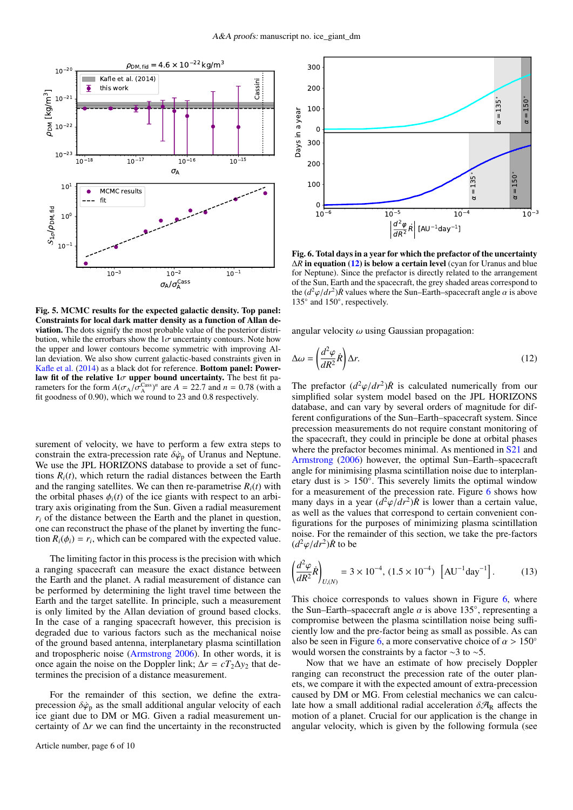

<span id="page-5-0"></span>Fig. 5. MCMC results for the expected galactic density. Top panel: Constraints for local dark matter density as a function of Allan deviation. The dots signify the most probable value of the posterior distribution, while the errorbars show the  $1\sigma$  uncertainty contours. Note how the upper and lower contours become symmetric with improving Allan deviation. We also show current galactic-based constraints given in [Kafle et al.](#page-9-15) [\(2014\)](#page-9-15) as a black dot for reference. Bottom panel: Power**law fit of the relative 1** $\sigma$  **upper bound uncertainty.** The best fit parameters for the form  $A(\sigma_x/\sigma^{Cas})^n$  are  $A = 22.7$  and  $n = 0.78$  (with a rameters for the form  $A(\sigma_A/\sigma_A^{\text{Cass}})^n$  are  $A = 22.7$  and  $n = 0.78$  (with a fit goodness of 0.90) which we round to 23 and 0.8 respectively fit goodness of 0.90), which we round to 23 and 0.8 respectively.

surement of velocity, we have to perform a few extra steps to constrain the extra-precession rate  $\delta \dot{\varphi}_p$  of Uranus and Neptune. We use the JPL HORIZONS database to provide a set of functions  $R_i(t)$ , which return the radial distances between the Earth and the ranging satellites. We can then re-parametrise  $R_i(t)$  with the orbital phases  $\phi_i(t)$  of the ice giants with respect to an arbitrary axis originating from the Sun. Given a radial measurement  $r_i$  of the distance between the Earth and the planet in question, one can reconstruct the phase of the planet by inverting the function  $R_i(\phi_i) = r_i$ , which can be compared with the expected value.

The limiting factor in this process is the precision with which a ranging spacecraft can measure the exact distance between the Earth and the planet. A radial measurement of distance can be performed by determining the light travel time between the Earth and the target satellite. In principle, such a measurement is only limited by the Allan deviation of ground based clocks. In the case of a ranging spacecraft however, this precision is degraded due to various factors such as the mechanical noise of the ground based antenna, interplanetary plasma scintillation and tropospheric noise [\(Armstrong](#page-9-8) [2006\)](#page-9-8). In other words, it is once again the noise on the Doppler link;  $\Delta r = cT_2 \Delta y_2$  that determines the precision of a distance measurement.

For the remainder of this section, we define the extraprecession  $\delta\dot{\varphi}_p$  as the small additional angular velocity of each ice giant due to DM or MG. Given a radial measurement uncertainty of ∆*r* we can find the uncertainty in the reconstructed



<span id="page-5-2"></span>Fig. 6. Total days in a year for which the prefactor of the uncertainty ∆*R* in equation [\(12\)](#page-5-1) is below a certain level (cyan for Uranus and blue for Neptune). Since the prefactor is directly related to the arrangement of the Sun, Earth and the spacecraft, the grey shaded areas correspond to the  $(d^2\varphi/dr^2)\hat{R}$  values where the Sun–Earth–spacecraft angle  $\alpha$  is above 135° and 150° respectively 135° and 150°, respectively.

angular velocity  $\omega$  using Gaussian propagation:

<span id="page-5-1"></span>
$$
\Delta \omega = \left(\frac{d^2 \varphi}{dR^2} \dot{R}\right) \Delta r. \tag{12}
$$

The prefactor  $(d^2\varphi/dr^2)\dot{R}$  is calculated numerically from our simplified solar system model based on the IPL HORIZONS simplified solar system model based on the JPL HORIZONS database, and can vary by several orders of magnitude for different configurations of the Sun–Earth–spacecraft system. Since precession measurements do not require constant monitoring of the spacecraft, they could in principle be done at orbital phases where the prefactor becomes minimal. As mentioned in [S21](#page-9-17) and [Armstrong](#page-9-8) [\(2006\)](#page-9-8) however, the optimal Sun–Earth–spacecraft angle for minimising plasma scintillation noise due to interplanetary dust is >  $150^\circ$ . This severely limits the optimal window for a measurement of the precession rate. Figure [6](#page-5-2) shows how many days in a year  $\left(d^2\varphi/dr^2\right)\hat{R}$  is lower than a certain value, as well as the values that correspond to certain convenient conas well as the values that correspond to certain convenient configurations for the purposes of minimizing plasma scintillation noise. For the remainder of this section, we take the pre-factors  $(d^2\varphi/dr^2)\dot{R}$  to be

$$
\left(\frac{d^2\varphi}{dR^2}\dot{R}\right)_{U,(N)} = 3 \times 10^{-4}, (1.5 \times 10^{-4}) \left[\text{AU}^{-1}\text{day}^{-1}\right].\tag{13}
$$

This choice corresponds to values shown in Figure [6,](#page-5-2) where the Sun–Earth–spacecraft angle  $\alpha$  is above 135°, representing a compromise between the plasma scintillation noise being sufficompromise between the plasma scintillation noise being sufficiently low and the pre-factor being as small as possible. As can also be seen in Figure [6,](#page-5-2) a more conservative choice of  $\alpha > 150^{\circ}$ would worsen the constraints by a factor ∼3 to ∼5.

Now that we have an estimate of how precisely Doppler ranging can reconstruct the precession rate of the outer planets, we compare it with the expected amount of extra-precession caused by DM or MG. From celestial mechanics we can calculate how a small additional radial acceleration  $\delta \mathcal{A}_R$  affects the motion of a planet. Crucial for our application is the change in angular velocity, which is given by the following formula (see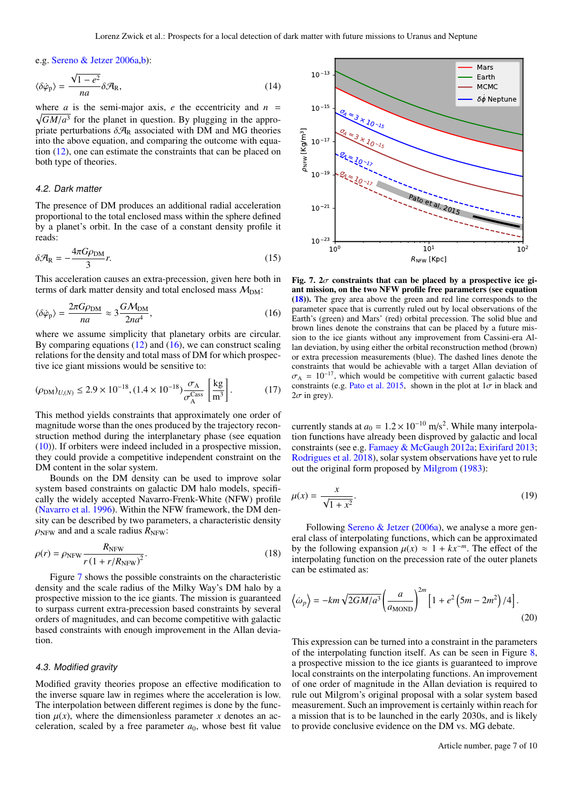e.g. [Sereno & Jetzer](#page-9-10) [2006a,](#page-9-10)[b\)](#page-9-29):

$$
\langle \delta \dot{\varphi}_p \rangle = \frac{\sqrt{1 - e^2}}{na} \delta \mathcal{A}_R,\tag{14}
$$

where *a* is the semi-major axis, *e* the eccentricity and  $n =$  $\sqrt{GM/a^3}$  for the planet in question. By plugging in the appro-<br>priate perturbations  $\delta A_p$  associated with DM and MG theories priate perturbations  $\delta \mathcal{A}_R$  associated with DM and MG theories into the above equation, and comparing the outcome with equation [\(12\)](#page-5-1), one can estimate the constraints that can be placed on both type of theories.

## 4.2. Dark matter

The presence of DM produces an additional radial acceleration proportional to the total enclosed mass within the sphere defined by a planet's orbit. In the case of a constant density profile it reads:

$$
\delta \mathcal{A}_{\rm R} = -\frac{4\pi G \rho_{\rm DM}}{3} r. \tag{15}
$$

This acceleration causes an extra-precession, given here both in terms of dark matter density and total enclosed mass  $M_{DM}$ :

$$
\langle \delta \dot{\varphi}_{\rm p} \rangle = \frac{2\pi G \rho_{\rm DM}}{na} \approx 3 \frac{GM_{\rm DM}}{2na^4},\tag{16}
$$

where we assume simplicity that planetary orbits are circular. By comparing equations [\(12\)](#page-5-1) and [\(16\)](#page-6-0), we can construct scaling relations for the density and total mass of DM for which prospective ice giant missions would be sensitive to:

$$
(\rho_{\rm DM})_{U,(N)} \le 2.9 \times 10^{-18}, (1.4 \times 10^{-18}) \frac{\sigma_{\rm A}}{\sigma_{\rm A}^{\rm Cas}} \left[ \frac{\rm kg}{\rm m^3} \right]. \tag{17}
$$

This method yields constraints that approximately one order of magnitude worse than the ones produced by the trajectory reconstruction method during the interplanetary phase (see equation [\(10\)](#page-3-1)). If orbiters were indeed included in a prospective mission, they could provide a competitive independent constraint on the DM content in the solar system.

Bounds on the DM density can be used to improve solar system based constraints on galactic DM halo models, specifically the widely accepted Navarro-Frenk-White (NFW) profile [\(Navarro et al.](#page-9-30) [1996\)](#page-9-30). Within the NFW framework, the DM density can be described by two parameters, a characteristic density  $\rho_{\text{NFW}}$  and and a scale radius  $R_{\text{NFW}}$ :

$$
\rho(r) = \rho_{\text{NFW}} \frac{R_{\text{NFW}}}{r \left(1 + r/R_{\text{NFW}}\right)^2}.
$$
\n(18)

Figure [7](#page-6-1) shows the possible constraints on the characteristic density and the scale radius of the Milky Way's DM halo by a prospective mission to the ice giants. The mission is guaranteed to surpass current extra-precession based constraints by several orders of magnitudes, and can become competitive with galactic based constraints with enough improvement in the Allan deviation.

#### 4.3. Modified gravity

Modified gravity theories propose an effective modification to the inverse square law in regimes where the acceleration is low. The interpolation between different regimes is done by the function  $\mu(x)$ , where the dimensionless parameter *x* denotes an acceleration, scaled by a free parameter  $a_0$ , whose best fit value



<span id="page-6-1"></span><span id="page-6-0"></span>Fig. 7.  $2\sigma$  constraints that can be placed by a prospective ice giant mission, on the two NFW profile free parameters (see equation [\(18\)](#page-6-2)). The grey area above the green and red line corresponds to the parameter space that is currently ruled out by local observations of the Earth's (green) and Mars' (red) orbital precession. The solid blue and brown lines denote the constrains that can be placed by a future mission to the ice giants without any improvement from Cassini-era Allan deviation, by using either the orbital reconstruction method (brown) or extra precession measurements (blue). The dashed lines denote the constraints that would be achievable with a target Allan deviation of  $\sigma_A = 10^{-17}$ , which would be competitive with current galactic based constraints (e.g. [Pato et al.](#page-9-31) [2015,](#page-9-31) shown in the plot at  $1\sigma$  in black and  $2\sigma$  in grey).

currently stands at  $a_0 = 1.2 \times 10^{-10}$  m/s<sup>2</sup>. While many interpolation functions have already been disproved by galactic and local tion functions have already been disproved by galactic and local constraints (see e.g. [Famaey & McGaugh](#page-9-32) [2012a;](#page-9-32) [Exirifard](#page-9-33) [2013;](#page-9-33) [Rodrigues et al.](#page-9-34) [2018\)](#page-9-34), solar system observations have yet to rule out the original form proposed by [Milgrom](#page-9-35) [\(1983\)](#page-9-35):

$$
\mu(x) = \frac{x}{\sqrt{1+x^2}}.\tag{19}
$$

<span id="page-6-2"></span>Following [Sereno & Jetzer](#page-9-10) [\(2006a\)](#page-9-10), we analyse a more general class of interpolating functions, which can be approximated by the following expansion  $\mu(x) \approx 1 + kx^{-m}$ . The effect of the interpolating function on the precession rate of the outer planets can be estimated as:

$$
\langle \dot{\omega}_p \rangle = -km \sqrt{2GM/a^3} \left( \frac{a}{a_{\text{MOND}}} \right)^{2m} \left[ 1 + e^2 \left( 5m - 2m^2 \right) / 4 \right]. \tag{20}
$$

This expression can be turned into a constraint in the parameters of the interpolating function itself. As can be seen in Figure [8,](#page-7-1) a prospective mission to the ice giants is guaranteed to improve local constraints on the interpolating functions. An improvement of one order of magnitude in the Allan deviation is required to rule out Milgrom's original proposal with a solar system based measurement. Such an improvement is certainly within reach for a mission that is to be launched in the early 2030s, and is likely to provide conclusive evidence on the DM vs. MG debate.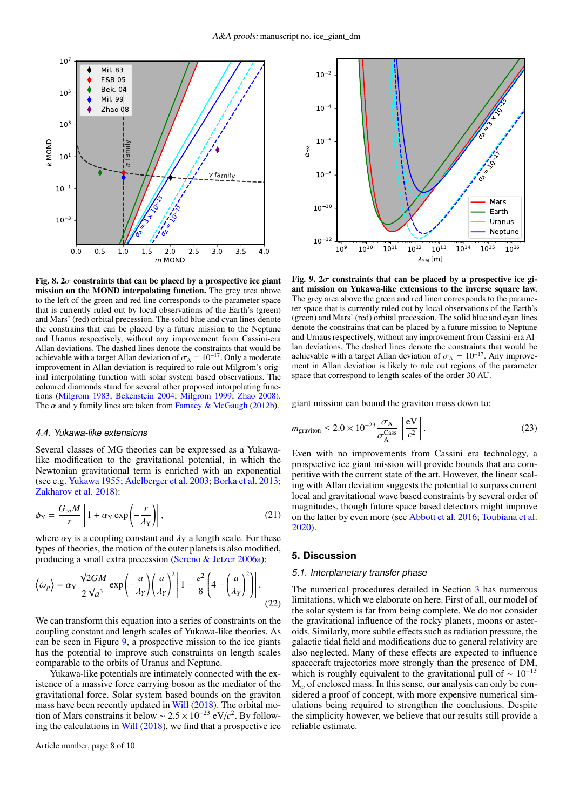

<span id="page-7-1"></span>Fig. 8.  $2\sigma$  constraints that can be placed by a prospective ice giant mission on the MOND interpolating function. The grey area above to the left of the green and red line corresponds to the parameter space that is currently ruled out by local observations of the Earth's (green) and Mars' (red) orbital precession. The solid blue and cyan lines denote the constrains that can be placed by a future mission to the Neptune and Uranus respectively, without any improvement from Cassini-era Allan deviations. The dashed lines denote the constraints that would be achievable with a target Allan deviation of  $\sigma_A = 10^{-17}$ . Only a moderate improvement in Allan deviation is required to rule out Milgrom's original interpolating function with solar system based observations. The coloured diamonds stand for several other proposed intorpolating functions [\(Milgrom](#page-9-35) [1983;](#page-9-35) [Bekenstein](#page-9-36) [2004;](#page-9-36) [Milgrom](#page-9-37) [1999;](#page-9-37) [Zhao](#page-9-38) [2008\)](#page-9-38). The  $\alpha$  and  $\gamma$  family lines are taken from [Famaey & McGaugh](#page-9-39) [\(2012b\)](#page-9-39).

#### 4.4. Yukawa-like extensions

Several classes of MG theories can be expressed as a Yukawalike modification to the gravitational potential, in which the Newtonian gravitational term is enriched with an exponential (see e.g. [Yukawa](#page-9-40) [1955;](#page-9-40) [Adelberger et al.](#page-9-41) [2003;](#page-9-41) [Borka et al.](#page-9-42) [2013;](#page-9-42) [Zakharov et al.](#page-9-43) [2018\)](#page-9-43):

$$
\phi_Y = \frac{G_{\infty}M}{r} \left[ 1 + \alpha_Y \exp\left(-\frac{r}{\lambda_Y}\right) \right],\tag{21}
$$

where  $\alpha_Y$  is a coupling constant and  $\lambda_Y$  a length scale. For these types of theories, the motion of the outer planets is also modified, producing a small extra precession [\(Sereno & Jetzer](#page-9-10) [2006a\)](#page-9-10):

$$
\left\langle \dot{\omega}_p \right\rangle = \alpha_Y \frac{\sqrt{2GM}}{2\sqrt{a^3}} \exp\left(-\frac{a}{\lambda_Y}\right) \left(\frac{a}{\lambda_Y}\right)^2 \left[1 - \frac{e^2}{8} \left(4 - \left(\frac{a}{\lambda_Y}\right)^2\right)\right].
$$
\n(22)

We can transform this equation into a series of constraints on the coupling constant and length scales of Yukawa-like theories. As can be seen in Figure [9,](#page-7-2) a prospective mission to the ice giants has the potential to improve such constraints on length scales comparable to the orbits of Uranus and Neptune.

Yukawa-like potentials are intimately connected with the existence of a massive force carrying boson as the mediator of the gravitational force. Solar system based bounds on the graviton mass have been recently updated in [Will](#page-9-11) [\(2018\)](#page-9-11). The orbital motion of Mars constrains it below ~  $2.5 \times 10^{-23}$  eV/ $c^2$ . By follow-<br>ing the calculations in Will (2018), we find that a prospective ice ing the calculations in [Will](#page-9-11) [\(2018\)](#page-9-11), we find that a prospective ice



<span id="page-7-2"></span>Fig. 9.  $2\sigma$  constraints that can be placed by a prospective ice giant mission on Yukawa-like extensions to the inverse square law. The grey area above the green and red linen corresponds to the parameter space that is currently ruled out by local observations of the Earth's (green) and Mars' (red) orbital precession. The solid blue and cyan lines denote the constrains that can be placed by a future mission to Neptune and Urnaus respectively, without any improvement from Cassini-era Allan deviations. The dashed lines denote the constraints that would be achievable with a target Allan deviation of  $\sigma_A = 10^{-17}$ . Any improvement in Allan deviation is likely to rule out regions of the parameter space that correspond to length scales of the order 30 AU.

giant mission can bound the graviton mass down to:

$$
m_{\text{graviton}} \le 2.0 \times 10^{-23} \frac{\sigma_{\text{A}}}{\sigma_{\text{A}}^{\text{Cass}}} \left[ \frac{\text{eV}}{c^2} \right]. \tag{23}
$$

Even with no improvements from Cassini era technology, a prospective ice giant mission will provide bounds that are competitive with the current state of the art. However, the linear scaling with Allan deviation suggests the potential to surpass current local and gravitational wave based constraints by several order of magnitudes, though future space based detectors might improve on the latter by even more (see [Abbott et al.](#page-9-44) [2016;](#page-9-44) [Toubiana et al.](#page-9-45) [2020\)](#page-9-45).

#### <span id="page-7-0"></span>**5. Discussion**

#### 5.1. Interplanetary transfer phase

The numerical procedures detailed in Section [3](#page-2-0) has numerous limitations, which we elaborate on here. First of all, our model of the solar system is far from being complete. We do not consider the gravitational influence of the rocky planets, moons or asteroids. Similarly, more subtle effects such as radiation pressure, the galactic tidal field and modifications due to general relativity are also neglected. Many of these effects are expected to influence spacecraft trajectories more strongly than the presence of DM, which is roughly equivalent to the gravitational pull of  $\sim 10^{-13}$  $M_{\odot}$  of enclosed mass. In this sense, our analysis can only be considered a proof of concept, with more expensive numerical simulations being required to strengthen the conclusions. Despite the simplicity however, we believe that our results still provide a reliable estimate.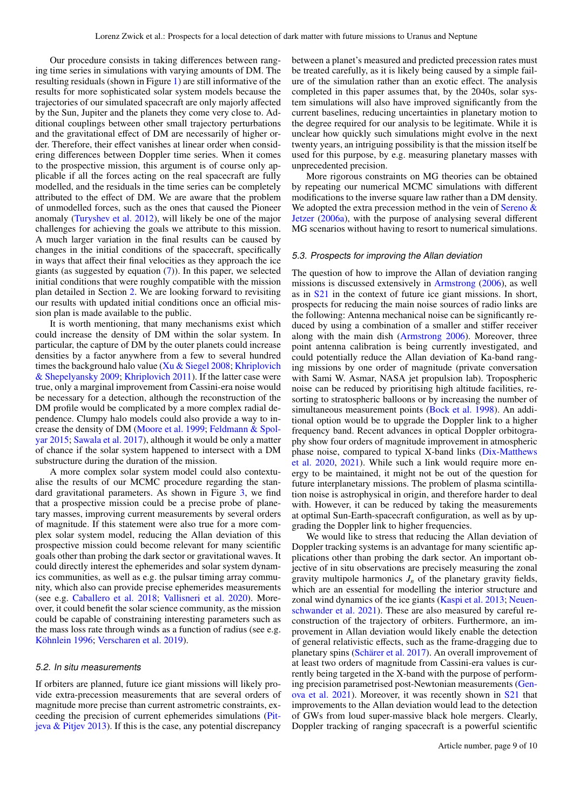Our procedure consists in taking differences between ranging time series in simulations with varying amounts of DM. The resulting residuals (shown in Figure [1\)](#page-1-1) are still informative of the results for more sophisticated solar system models because the trajectories of our simulated spacecraft are only majorly affected by the Sun, Jupiter and the planets they come very close to. Additional couplings between other small trajectory perturbations and the gravitational effect of DM are necessarily of higher order. Therefore, their effect vanishes at linear order when considering differences between Doppler time series. When it comes to the prospective mission, this argument is of course only applicable if all the forces acting on the real spacecraft are fully modelled, and the residuals in the time series can be completely attributed to the effect of DM. We are aware that the problem of unmodelled forces, such as the ones that caused the Pioneer anomaly [\(Turyshev et al.](#page-9-46) [2012\)](#page-9-46), will likely be one of the major challenges for achieving the goals we attribute to this mission. A much larger variation in the final results can be caused by changes in the initial conditions of the spacecraft, specifically in ways that affect their final velocities as they approach the ice giants (as suggested by equation [\(7\)](#page-2-3)). In this paper, we selected initial conditions that were roughly compatible with the mission plan detailed in Section [2.](#page-1-0) We are looking forward to revisiting our results with updated initial conditions once an official mission plan is made available to the public.

It is worth mentioning, that many mechanisms exist which could increase the density of DM within the solar system. In particular, the capture of DM by the outer planets could increase densities by a factor anywhere from a few to several hundred times the background halo value (Xu  $&$  Siegel [2008;](#page-9-47) [Khriplovich](#page-9-48) [& Shepelyansky](#page-9-48) [2009;](#page-9-48) [Khriplovich](#page-9-49) [2011\)](#page-9-49). If the latter case were true, only a marginal improvement from Cassini-era noise would be necessary for a detection, although the reconstruction of the DM profile would be complicated by a more complex radial dependence. Clumpy halo models could also provide a way to increase the density of DM [\(Moore et al.](#page-9-50) [1999;](#page-9-50) [Feldmann & Spol](#page-9-51)[yar](#page-9-51) [2015;](#page-9-51) [Sawala et al.](#page-9-52) [2017\)](#page-9-52), although it would be only a matter of chance if the solar system happened to intersect with a DM substructure during the duration of the mission.

A more complex solar system model could also contextualise the results of our MCMC procedure regarding the standard gravitational parameters. As shown in Figure [3,](#page-4-1) we find that a prospective mission could be a precise probe of planetary masses, improving current measurements by several orders of magnitude. If this statement were also true for a more complex solar system model, reducing the Allan deviation of this prospective mission could become relevant for many scientific goals other than probing the dark sector or gravitational waves. It could directly interest the ephemerides and solar system dynamics communities, as well as e.g. the pulsar timing array community, which also can provide precise ephemerides measurements (see e.g. [Caballero et al.](#page-9-53) [2018;](#page-9-53) [Vallisneri et al.](#page-9-54) [2020\)](#page-9-54). Moreover, it could benefit the solar science community, as the mission could be capable of constraining interesting parameters such as the mass loss rate through winds as a function of radius (see e.g. [Köhnlein](#page-9-55) [1996;](#page-9-55) [Verscharen et al.](#page-9-56) [2019\)](#page-9-56).

#### 5.2. In situ measurements

If orbiters are planned, future ice giant missions will likely provide extra-precession measurements that are several orders of magnitude more precise than current astrometric constraints, exceeding the precision of current ephemerides simulations [\(Pit](#page-9-13)[jeva & Pitjev](#page-9-13) [2013\)](#page-9-13). If this is the case, any potential discrepancy

between a planet's measured and predicted precession rates must be treated carefully, as it is likely being caused by a simple failure of the simulation rather than an exotic effect. The analysis completed in this paper assumes that, by the 2040s, solar system simulations will also have improved significantly from the current baselines, reducing uncertainties in planetary motion to the degree required for our analysis to be legitimate. While it is unclear how quickly such simulations might evolve in the next twenty years, an intriguing possibility is that the mission itself be used for this purpose, by e.g. measuring planetary masses with unprecedented precision.

More rigorous constraints on MG theories can be obtained by repeating our numerical MCMC simulations with different modifications to the inverse square law rather than a DM density. We adopted the extra precession method in the vein of Sereno  $\&$ [Jetzer](#page-9-10) [\(2006a\)](#page-9-10), with the purpose of analysing several different MG scenarios without having to resort to numerical simulations.

#### 5.3. Prospects for improving the Allan deviation

The question of how to improve the Allan of deviation ranging missions is discussed extensively in [Armstrong](#page-9-8) [\(2006\)](#page-9-8), as well as in [S21](#page-9-17) in the context of future ice giant missions. In short, prospects for reducing the main noise sources of radio links are the following: Antenna mechanical noise can be significantly reduced by using a combination of a smaller and stiffer receiver along with the main dish [\(Armstrong](#page-9-8) [2006\)](#page-9-8). Moreover, three point antenna calibration is being currently investigated, and could potentially reduce the Allan deviation of Ka-band ranging missions by one order of magnitude (private conversation with Sami W. Asmar, NASA jet propulsion lab). Tropospheric noise can be reduced by prioritising high altitude facilities, resorting to stratospheric balloons or by increasing the number of simultaneous measurement points [\(Bock et al.](#page-9-57) [1998\)](#page-9-57). An additional option would be to upgrade the Doppler link to a higher frequency band. Recent advances in optical Doppler orbitography show four orders of magnitude improvement in atmospheric phase noise, compared to typical X-band links [\(Dix-Matthews](#page-9-58) [et al.](#page-9-58) [2020,](#page-9-58) [2021\)](#page-9-59). While such a link would require more energy to be maintained, it might not be out of the question for future interplanetary missions. The problem of plasma scintillation noise is astrophysical in origin, and therefore harder to deal with. However, it can be reduced by taking the measurements at optimal Sun-Earth-spacecraft configuration, as well as by upgrading the Doppler link to higher frequencies.

We would like to stress that reducing the Allan deviation of Doppler tracking systems is an advantage for many scientific applications other than probing the dark sector. An important objective of in situ observations are precisely measuring the zonal gravity multipole harmonics  $J_n$  of the planetary gravity fields, which are an essential for modelling the interior structure and zonal wind dynamics of the ice giants [\(Kaspi et al.](#page-9-60) [2013;](#page-9-60) [Neuen](#page-9-61)[schwander et al.](#page-9-61) [2021\)](#page-9-61). These are also measured by careful reconstruction of the trajectory of orbiters. Furthermore, an improvement in Allan deviation would likely enable the detection of general relativistic effects, such as the frame-dragging due to planetary spins [\(Schärer et al.](#page-9-62) [2017\)](#page-9-62). An overall improvement of at least two orders of magnitude from Cassini-era values is currently being targeted in the X-band with the purpose of performing precision parametrised post-Newtonian measurements [\(Gen](#page-9-63)[ova et al.](#page-9-63) [2021\)](#page-9-63). Moreover, it was recently shown in [S21](#page-9-17) that improvements to the Allan deviation would lead to the detection of GWs from loud super-massive black hole mergers. Clearly, Doppler tracking of ranging spacecraft is a powerful scientific